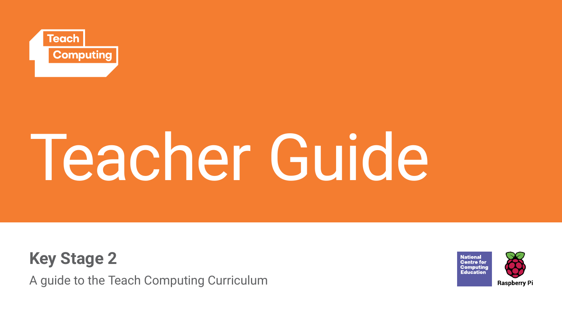

# Teacher Guide

**Key Stage 2**

A guide to the Teach Computing Curriculum

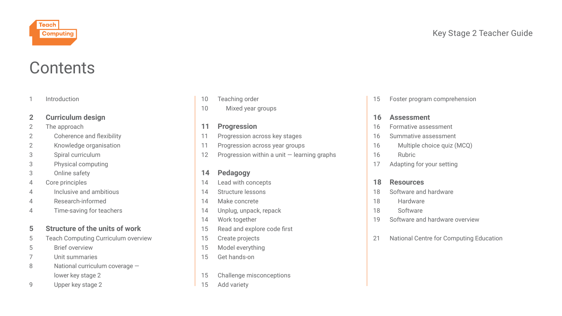

# **Contents**

#### [Introduction](#page-2-0)

#### **2 [Curriculum design](#page-3-0)**

- 2 [The approach](#page-3-0)
- 2 Coherence and flexibility
- [2 Knowledge organisation](#page-3-0)
- [3 Spiral curriculum](#page-4-0)
- [3 Physical computing](#page-4-0)
- [3 Online safety](#page-4-0)
- 4 [Core principles](#page-5-0)
- [4 Inclusive](#page-5-0) and ambitious
- [4 Research-informed](#page-5-0)
- [4 Time-saving for teachers](#page-5-0)

### **5 [Structure of the units of work](#page-6-0)**

- 5 [Teach Computing Curriculum overview](#page-6-0)
- [5 Brief overview](#page-6-0)
- [7 Unit summaries](#page-7-0)
- [8 National curriculum coverage](#page-9-0)   [lower key stage 2](#page-9-0)
- [9 Upper key stage 2](#page-10-0)
- 10 [Teaching order](#page-11-0)
- 10 Mixed year groups

#### **11 [Progression](#page-12-0)**

- 11 [Progression across key stages](#page-12-0)
- 11 [Progression across year groups](#page-12-0)
- 12 Progression within a unit learning graphs

### **14 [Pedagogy](#page-15-0)**

- 14 [Lead with concepts](#page-15-0)
- 14 [Structure lessons](#page-15-0)
- 14 [Make concrete](#page-15-0)
- 14 [Unplug, unpack, repack](#page-15-0)
- 14 [Work together](#page-15-0)
- 15 Read and explore code first
- 15 [Create projects](#page-16-0)
- 15 [Model everything](#page-16-0)
- 15 [Get hands-on](#page-16-0)
- 15 [Challenge misconceptions](#page-16-0)
- 15 [Add variety](#page-16-0)

15 [Foster program comprehension](#page-16-0)

#### **16 [Assessment](#page-17-0)**

- 16 [Formative assessment](#page-17-0)
- 16 [Summative assessment](#page-17-0)
- [16 Multiple choice quiz \(MCQ\)](#page-17-0)
- [16 Rubric](#page-17-0)
- 17 [Adapting for your setting](#page-18-0)

#### **18 [Resources](#page-19-0)**

- 18 [Software and hardware](#page-19-0)
- [18 Hardware](#page-19-0)
- [18 Software](#page-19-0)
- 19 [Software and hardware overview](#page-20-0)
- 21 [National Centre for Computing Education](#page-22-0)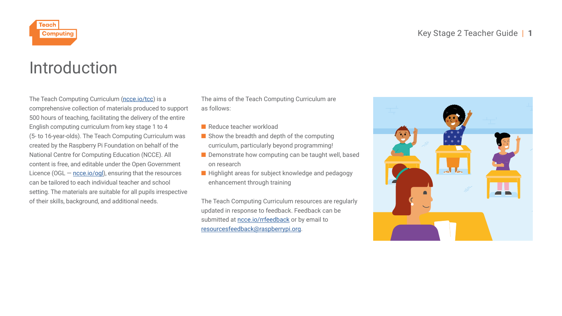

<span id="page-2-0"></span>

# Introduction

The Teach Computing Curriculum (ncce.io/tcc) is a comprehensive collection of materials produced to support 500 hours of teaching, facilitating the delivery of the entire English computing curriculum from key stage 1 to 4 (5- to 16-year-olds). The Teach Computing Curriculum was created by the Raspberry Pi Foundation on behalf of the National Centre for Computing Education (NCCE). All content is free, and editable under the Open Government Licence (OGL — ncce.io/ogl), ensuring that the resources can be tailored to each individual teacher and school setting. The materials are suitable for all pupils irrespective of their skills, background, and additional needs.

The aims of the Teach Computing Curriculum are as follows:

- Reduce teacher workload
- Show the breadth and depth of the computing curriculum, particularly beyond programming!
- Demonstrate how computing can be taught well, based on research
- Highlight areas for subject knowledge and pedagogy enhancement through training

The Teach Computing Curriculum resources are regularly updated in response to feedback. Feedback can be submitted at ncce.io/rrfeedback or by email to resourcesfeedback@raspberrypi.org.

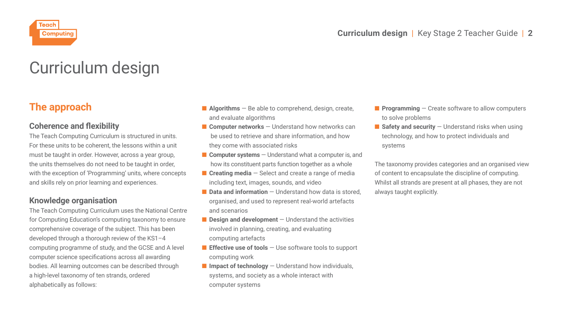<span id="page-3-0"></span>

# Curriculum design

# **The approach**

### **Coherence and flexibility**

The Teach Computing Curriculum is structured in units. For these units to be coherent, the lessons within a unit must be taught in order. However, across a year group, the units themselves do not need to be taught in order, with the exception of 'Programming' units, where concepts and skills rely on prior learning and experiences.

### **Knowledge organisation**

The Teach Computing Curriculum uses the National Centre for Computing Education's computing taxonomy to ensure comprehensive coverage of the subject. This has been developed through a thorough review of the KS1–4 computing programme of study, and the GCSE and A level computer science specifications across all awarding bodies. All learning outcomes can be described through a high-level taxonomy of ten strands, ordered alphabetically as follows:

- **Algorithms** Be able to comprehend, design, create, and evaluate algorithms
- **Computer networks** Understand how networks can be used to retrieve and share information, and how they come with associated risks
- **Computer systems** Understand what a computer is, and how its constituent parts function together as a whole
- **Creating media** Select and create a range of media including text, images, sounds, and video
- **Data and information** Understand how data is stored organised, and used to represent real-world artefacts and scenarios
- **Design and development** Understand the activities involved in planning, creating, and evaluating computing artefacts
- **Effective use of tools** Use software tools to support computing work
- **Impact of technology** Understand how individuals, systems, and society as a whole interact with computer systems
- **Programming** Create software to allow computers to solve problems
- **Safety and security** Understand risks when using technology, and how to protect individuals and systems

The taxonomy provides categories and an organised view of content to encapsulate the discipline of computing. Whilst all strands are present at all phases, they are not always taught explicitly.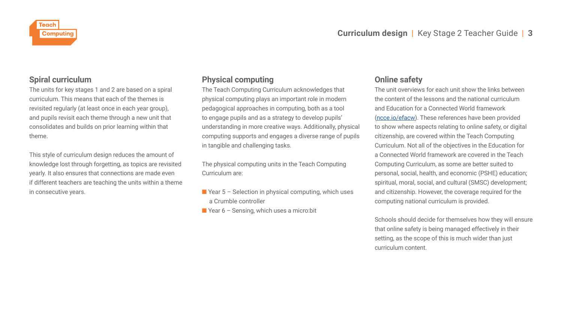<span id="page-4-0"></span>

### **Spiral curriculum**

The units for key stages 1 and 2 are based on a spiral curriculum. This means that each of the themes is revisited regularly (at least once in each year group), and pupils revisit each theme through a new unit that consolidates and builds on prior learning within that theme.

This style of curriculum design reduces the amount of knowledge lost through forgetting, as topics are revisited yearly. It also ensures that connections are made even if different teachers are teaching the units within a theme in consecutive years.

### **Physical computing**

The Teach Computing Curriculum acknowledges that physical computing plays an important role in modern pedagogical approaches in computing, both as a tool to engage pupils and as a strategy to develop pupils' understanding in more creative ways. Additionally, physical computing supports and engages a diverse range of pupils in tangible and challenging tasks.

The physical computing units in the Teach Computing Curriculum are:

- $\blacksquare$  Year 5 Selection in physical computing, which uses a Crumble controller
- Year 6 Sensing, which uses a micro:bit

### **Online safety**

The unit overviews for each unit show the links between the content of the lessons and the national curriculum and Education for a Connected World framework (ncce.io/efacw). These references have been provided to show where aspects relating to online safety, or digital citizenship, are covered within the Teach Computing Curriculum. Not all of the objectives in the Education for a Connected World framework are covered in the Teach Computing Curriculum, as some are better suited to personal, social, health, and economic (PSHE) education; spiritual, moral, social, and cultural (SMSC) development; and citizenship. However, the coverage required for the computing national curriculum is provided.

Schools should decide for themselves how they will ensure that online safety is being managed effectively in their setting, as the scope of this is much wider than just curriculum content.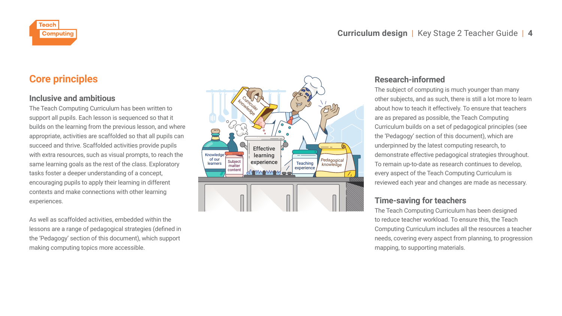<span id="page-5-0"></span>

## **Core principles**

### **Inclusive and ambitious**

The Teach Computing Curriculum has been written to support all pupils. Each lesson is sequenced so that it builds on the learning from the previous lesson, and where appropriate, activities are scaffolded so that all pupils can succeed and thrive. Scaffolded activities provide pupils with extra resources, such as visual prompts, to reach the same learning goals as the rest of the class. Exploratory tasks foster a deeper understanding of a concept, encouraging pupils to apply their learning in different contexts and make connections with other learning experiences.

As well as scaffolded activities, embedded within the lessons are a range of pedagogical strategies (defined in the 'Pedagogy' section of this document), which support making computing topics more accessible.



### **Research-informed**

The subject of computing is much younger than many other subjects, and as such, there is still a lot more to learn about how to teach it effectively. To ensure that teachers are as prepared as possible, the Teach Computing Curriculum builds on a set of pedagogical principles (see the 'Pedagogy' section of this document), which are underpinned by the latest computing research, to demonstrate effective pedagogical strategies throughout. To remain up-to-date as research continues to develop, every aspect of the Teach Computing Curriculum is reviewed each year and changes are made as necessary.

### **Time-saving for teachers**

The Teach Computing Curriculum has been designed to reduce teacher workload. To ensure this, the Teach Computing Curriculum includes all the resources a teacher needs, covering every aspect from planning, to progression mapping, to supporting materials.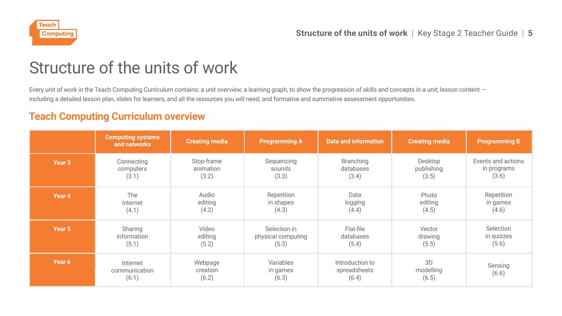<span id="page-6-0"></span>

# Structure of the units of work

Every unit of work in the Teach Computing Curriculum contains: a unit overview; a learning graph, to show the progression of skills and concepts in a unit; lesson content including a detailed lesson plan, slides for learners, and all the resources you will need; and formative and summative assessment opportunities.

### **Teach Computing Curriculum overview**

|                   | <b>Computing systems</b><br>and networks | <b>Creating media</b>        | <b>Programming A</b>           | <b>Data and information</b>              | <b>Creating media</b>    | <b>Programming B</b> |
|-------------------|------------------------------------------|------------------------------|--------------------------------|------------------------------------------|--------------------------|----------------------|
| Year <sub>3</sub> | Connecting                               | Stop-frame                   | Sequencing                     | Branching                                | Desktop                  | Events and actions   |
|                   | computers                                | animation                    | sounds                         | databases                                | publishing               | in programs          |
|                   | (3.1)                                    | (3.2)                        | (3.3)                          | (3.4)                                    | (3.5)                    | (3.6)                |
| Year 4            | The                                      | Audio                        | Repetition                     | Data                                     | Photo                    | Repetition           |
|                   | internet                                 | editing                      | in shapes                      | logging                                  | editing                  | in games             |
|                   | (4.1)                                    | (4.2)                        | (4.3)                          | (4.4)                                    | (4.5)                    | (4.6)                |
| Year 5            | Sharing                                  | Video                        | Selection in                   | Flat-file                                | Vector                   | Selection            |
|                   | information                              | editing                      | physical computing             | databases                                | drawing                  | in quizzes           |
|                   | (5.1)                                    | (5.2)                        | (5.3)                          | (5.4)                                    | (5.5)                    | (5.6)                |
| Year 6            | Internet<br>communication<br>(6.1)       | Webpage<br>creation<br>(6.2) | Variables<br>in games<br>(6.3) | Introduction to<br>spreadsheets<br>(6.4) | 3D<br>modelling<br>(6.5) | Sensing<br>(6.6)     |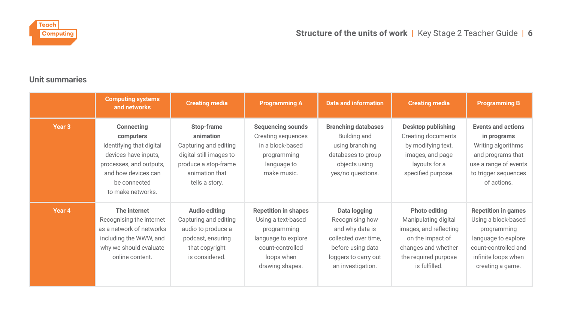<span id="page-7-0"></span>

### **Unit summaries**

|                   | <b>Computing systems</b><br>and networks                                                                                                                           | <b>Creating media</b>                                                                                                                   | <b>Programming A</b>                                                                                                                         | <b>Data and information</b>                                                                                                                  | <b>Creating media</b>                                                                                                                               | <b>Programming B</b>                                                                                                                                       |
|-------------------|--------------------------------------------------------------------------------------------------------------------------------------------------------------------|-----------------------------------------------------------------------------------------------------------------------------------------|----------------------------------------------------------------------------------------------------------------------------------------------|----------------------------------------------------------------------------------------------------------------------------------------------|-----------------------------------------------------------------------------------------------------------------------------------------------------|------------------------------------------------------------------------------------------------------------------------------------------------------------|
| Year <sub>3</sub> | Connecting<br>computers<br>Identifying that digital<br>devices have inputs,<br>processes, and outputs,<br>and how devices can<br>be connected<br>to make networks. | Stop-frame<br>animation<br>Capturing and editing<br>digital still images to<br>produce a stop-frame<br>animation that<br>tells a story. | Sequencing sounds<br>Creating sequences<br>in a block-based<br>programming<br>language to<br>make music.                                     | <b>Branching databases</b><br>Building and<br>using branching<br>databases to group<br>objects using<br>yes/no questions.                    | Desktop publishing<br>Creating documents<br>by modifying text,<br>images, and page<br>layouts for a<br>specified purpose.                           | Events and actions<br>in programs<br>Writing algorithms<br>and programs that<br>use a range of events<br>to trigger sequences<br>of actions.               |
| Year 4            | The internet<br>Recognising the internet<br>as a network of networks<br>including the WWW, and<br>why we should evaluate<br>online content.                        | Audio editing<br>Capturing and editing<br>audio to produce a<br>podcast, ensuring<br>that copyright<br>is considered.                   | <b>Repetition in shapes</b><br>Using a text-based<br>programming<br>language to explore<br>count-controlled<br>loops when<br>drawing shapes. | Data logging<br>Recognising how<br>and why data is<br>collected over time,<br>before using data<br>loggers to carry out<br>an investigation. | Photo editing<br>Manipulating digital<br>images, and reflecting<br>on the impact of<br>changes and whether<br>the required purpose<br>is fulfilled. | <b>Repetition in games</b><br>Using a block-based<br>programming<br>language to explore<br>count-controlled and<br>infinite loops when<br>creating a game. |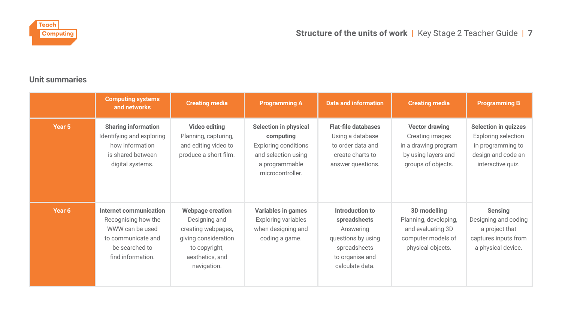

### **Unit summaries**

|        | <b>Computing systems</b><br>and networks                                                                                      | <b>Creating media</b>                                                                                                              | <b>Programming A</b>                                                                                                           | <b>Data and information</b>                                                                                              | <b>Creating media</b>                                                                                  | <b>Programming B</b>                                                                                        |
|--------|-------------------------------------------------------------------------------------------------------------------------------|------------------------------------------------------------------------------------------------------------------------------------|--------------------------------------------------------------------------------------------------------------------------------|--------------------------------------------------------------------------------------------------------------------------|--------------------------------------------------------------------------------------------------------|-------------------------------------------------------------------------------------------------------------|
| Year 5 | <b>Sharing information</b><br>Identifying and exploring<br>how information<br>is shared between<br>digital systems.           | Video editing<br>Planning, capturing,<br>and editing video to<br>produce a short film.                                             | Selection in physical<br>computing<br><b>Exploring conditions</b><br>and selection using<br>a programmable<br>microcontroller. | Flat-file databases<br>Using a database<br>to order data and<br>create charts to<br>answer questions.                    | Vector drawing<br>Creating images<br>in a drawing program<br>by using layers and<br>groups of objects. | Selection in quizzes<br>Exploring selection<br>in programming to<br>design and code an<br>interactive quiz. |
| Year 6 | Internet communication<br>Recognising how the<br>WWW can be used<br>to communicate and<br>be searched to<br>find information. | Webpage creation<br>Designing and<br>creating webpages,<br>giving consideration<br>to copyright,<br>aesthetics, and<br>navigation. | Variables in games<br><b>Exploring variables</b><br>when designing and<br>coding a game.                                       | Introduction to<br>spreadsheets<br>Answering<br>questions by using<br>spreadsheets<br>to organise and<br>calculate data. | 3D modelling<br>Planning, developing,<br>and evaluating 3D<br>computer models of<br>physical objects.  | Sensing<br>Designing and coding<br>a project that<br>captures inputs from<br>a physical device.             |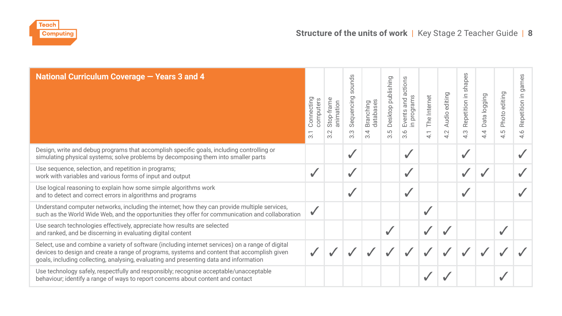<span id="page-9-0"></span>

| National Curriculum Coverage - Years 3 and 4                                                                                                                                                                                                                                               | Connecting<br>computers<br>ന് | Stop-frame<br>animation<br>$\sim$<br><sub>co</sub> | sounds<br>Sequencing<br>ന<br>$\infty$ | databases<br>Branching<br>3.4 | Desktop publishing<br>5.5 | actions<br>in programs<br>Events and<br>3.6 | The Internet<br>$\overline{\phantom{0}}$<br>₹ | Audio editing<br>4.2 | shapes<br>Repetition in<br>S<br>₹ | Data logging<br>4<br>₹ | Photo editing<br>LO<br>₹ | games<br>Repetition in<br>4.6 |
|--------------------------------------------------------------------------------------------------------------------------------------------------------------------------------------------------------------------------------------------------------------------------------------------|-------------------------------|----------------------------------------------------|---------------------------------------|-------------------------------|---------------------------|---------------------------------------------|-----------------------------------------------|----------------------|-----------------------------------|------------------------|--------------------------|-------------------------------|
| Design, write and debug programs that accomplish specific goals, including controlling or<br>simulating physical systems; solve problems by decomposing them into smaller parts                                                                                                            |                               |                                                    |                                       |                               |                           | ✓                                           |                                               |                      |                                   |                        |                          |                               |
| Use sequence, selection, and repetition in programs;<br>work with variables and various forms of input and output                                                                                                                                                                          |                               |                                                    | ุ่ง                                   |                               |                           | ✓                                           |                                               |                      |                                   |                        |                          |                               |
| Use logical reasoning to explain how some simple algorithms work<br>and to detect and correct errors in algorithms and programs                                                                                                                                                            |                               |                                                    |                                       |                               |                           | $\checkmark$                                |                                               |                      |                                   |                        |                          |                               |
| Understand computer networks, including the internet; how they can provide multiple services,<br>such as the World Wide Web, and the opportunities they offer for communication and collaboration                                                                                          |                               |                                                    |                                       |                               |                           |                                             |                                               |                      |                                   |                        |                          |                               |
| Use search technologies effectively, appreciate how results are selected<br>and ranked, and be discerning in evaluating digital content                                                                                                                                                    |                               |                                                    |                                       |                               |                           |                                             |                                               |                      |                                   |                        |                          |                               |
| Select, use and combine a variety of software (including internet services) on a range of digital<br>devices to design and create a range of programs, systems and content that accomplish given<br>goals, including collecting, analysing, evaluating and presenting data and information |                               |                                                    |                                       |                               |                           |                                             |                                               |                      |                                   |                        |                          |                               |
| Use technology safely, respectfully and responsibly; recognise acceptable/unacceptable<br>behaviour; identify a range of ways to report concerns about content and contact                                                                                                                 |                               |                                                    |                                       |                               |                           |                                             |                                               |                      |                                   |                        |                          |                               |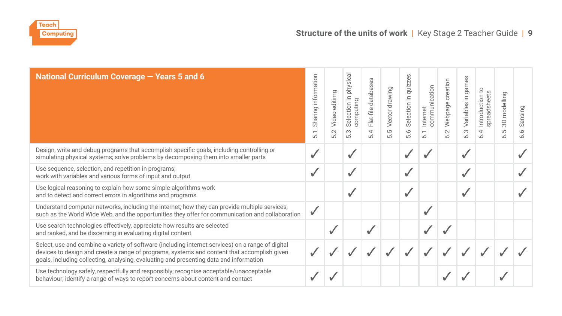<span id="page-10-0"></span>

| National Curriculum Coverage - Years 5 and 6                                                                                                                                                                                                                                               | Sharing information<br>$\overline{ }$<br>ίó. | editimg<br>Video<br>5.2 | physical<br>Selection in<br>computing<br>$\frac{3}{5}$ | Flat-file databases<br>$\overline{54}$ | Vector drawing<br>LO<br>$\overrightarrow{a}$ | Se<br>Selection in quizz<br>5.6 | communication<br>Internet<br>$\overline{5}$ | creation<br>Webpage<br>5.2 | games<br>Variables in<br>6.3 | °,<br>spreadsheets<br>Introduction<br>$\tilde{z}$ | modelling<br>$\overline{5}$<br>S<br>$\vec{0}$ | Sensing<br>5.6 |
|--------------------------------------------------------------------------------------------------------------------------------------------------------------------------------------------------------------------------------------------------------------------------------------------|----------------------------------------------|-------------------------|--------------------------------------------------------|----------------------------------------|----------------------------------------------|---------------------------------|---------------------------------------------|----------------------------|------------------------------|---------------------------------------------------|-----------------------------------------------|----------------|
| Design, write and debug programs that accomplish specific goals, including controlling or<br>simulating physical systems; solve problems by decomposing them into smaller parts                                                                                                            |                                              |                         | ┙                                                      |                                        |                                              |                                 |                                             |                            |                              |                                                   |                                               |                |
| Use sequence, selection, and repetition in programs;<br>work with variables and various forms of input and output                                                                                                                                                                          | $\checkmark$                                 |                         | ✓                                                      |                                        |                                              |                                 |                                             |                            |                              |                                                   |                                               |                |
| Use logical reasoning to explain how some simple algorithms work<br>and to detect and correct errors in algorithms and programs                                                                                                                                                            |                                              |                         | ุ่ง                                                    |                                        |                                              |                                 |                                             |                            |                              |                                                   |                                               |                |
| Understand computer networks, including the internet; how they can provide multiple services,<br>such as the World Wide Web, and the opportunities they offer for communication and collaboration                                                                                          |                                              |                         |                                                        |                                        |                                              |                                 |                                             |                            |                              |                                                   |                                               |                |
| Use search technologies effectively, appreciate how results are selected<br>and ranked, and be discerning in evaluating digital content                                                                                                                                                    |                                              |                         |                                                        | ✓                                      |                                              |                                 |                                             |                            |                              |                                                   |                                               |                |
| Select, use and combine a variety of software (including internet services) on a range of digital<br>devices to design and create a range of programs, systems and content that accomplish given<br>goals, including collecting, analysing, evaluating and presenting data and information |                                              |                         |                                                        |                                        |                                              |                                 |                                             |                            |                              |                                                   |                                               |                |
| Use technology safely, respectfully and responsibly; recognise acceptable/unacceptable<br>behaviour; identify a range of ways to report concerns about content and contact                                                                                                                 |                                              |                         |                                                        |                                        |                                              |                                 |                                             |                            |                              |                                                   |                                               |                |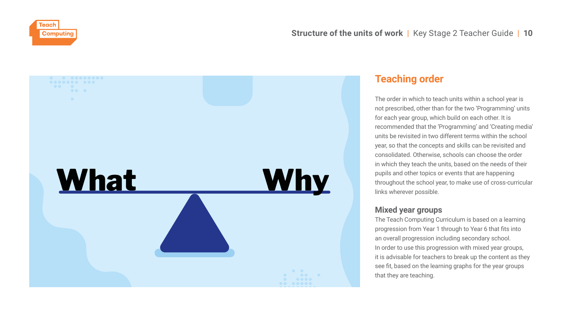<span id="page-11-0"></span>



### **Teaching order**

The order in which to teach units within a school year is not prescribed, other than for the two 'Programming' units for each year group, which build on each other. It is recommended that the 'Programming' and 'Creating media' units be revisited in two different terms within the school year, so that the concepts and skills can be revisited and consolidated. Otherwise, schools can choose the order in which they teach the units, based on the needs of their pupils and other topics or events that are happening throughout the school year, to make use of cross-curricular links wherever possible.

### **Mixed year groups**

The Teach Computing Curriculum is based on a learning progression from Year 1 through to Year 6 that fits into an overall progression including secondary school. In order to use this progression with mixed year groups, it is advisable for teachers to break up the content as they see fit, based on the learning graphs for the year groups that they are teaching.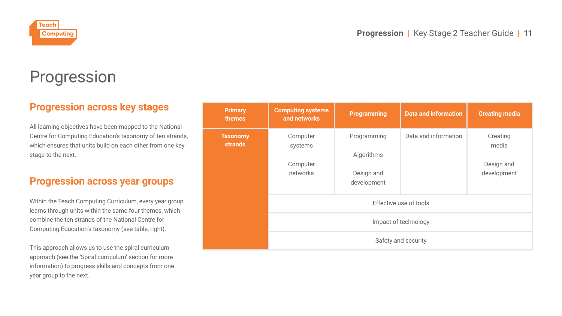<span id="page-12-0"></span>

# Progression

# **Progression across key stages**

All learning objectives have been mapped to the National Centre for Computing Education's taxonomy of ten strands, which ensures that units build on each other from one key stage to the next.

### **Progression across year groups**

Within the Teach Computing Curriculum, every year group learns through units within the same four themes, which combine the ten strands of the National Centre for Computing Education's taxonomy (see table, right).

This approach allows us to use the spiral curriculum approach (see the 'Spiral curriculum' section for more information) to progress skills and concepts from one year group to the next.

| Primary<br>themes                 | <b>Computing systems</b><br>and networks    | Programming                                            | <b>Data and information</b> | <b>Creating media</b>                          |  |  |  |  |  |
|-----------------------------------|---------------------------------------------|--------------------------------------------------------|-----------------------------|------------------------------------------------|--|--|--|--|--|
| <b>Taxonomy</b><br><b>strands</b> | Computer<br>systems<br>Computer<br>networks | Programming<br>Algorithms<br>Design and<br>development | Data and information        | Creating<br>media<br>Design and<br>development |  |  |  |  |  |
|                                   | Effective use of tools                      |                                                        |                             |                                                |  |  |  |  |  |
|                                   | Impact of technology                        |                                                        |                             |                                                |  |  |  |  |  |
|                                   | Safety and security                         |                                                        |                             |                                                |  |  |  |  |  |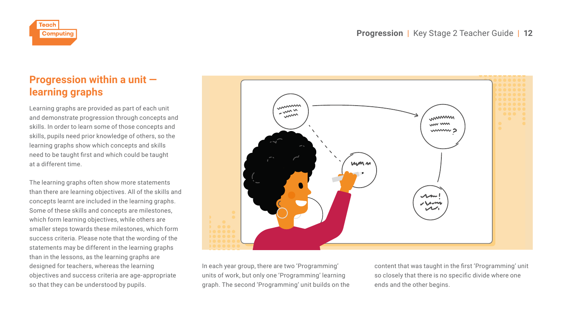<span id="page-13-0"></span>

# **Progression within a unit learning graphs**

Learning graphs are provided as part of each unit and demonstrate progression through concepts and skills. In order to learn some of those concepts and skills, pupils need prior knowledge of others, so the learning graphs show which concepts and skills need to be taught first and which could be taught at a different time.

The learning graphs often show more statements than there are learning objectives. All of the skills and concepts learnt are included in the learning graphs. Some of these skills and concepts are milestones, which form learning objectives, while others are smaller steps towards these milestones, which form success criteria. Please note that the wording of the statements may be different in the learning graphs than in the lessons, as the learning graphs are designed for teachers, whereas the learning objectives and success criteria are age-appropriate so that they can be understood by pupils.



In each year group, there are two 'Programming' units of work, but only one 'Programming' learning graph. The second 'Programming' unit builds on the content that was taught in the first 'Programming' unit so closely that there is no specific divide where one ends and the other begins.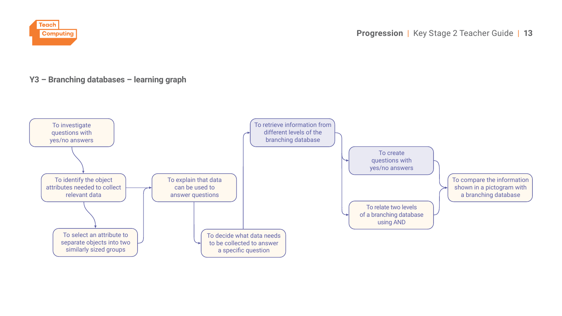

### **Y3 – Branching databases – learning graph**

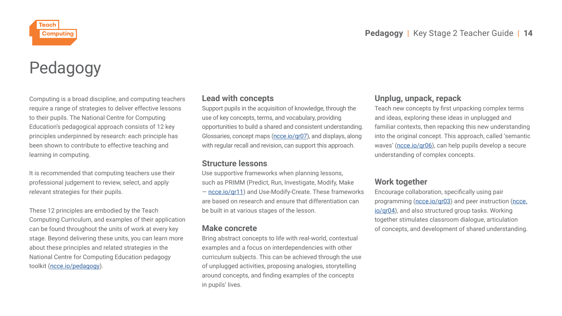<span id="page-15-0"></span>

# Pedagogy

Computing is a broad discipline, and computing teachers require a range of strategies to deliver effective lessons to their pupils. The National Centre for Computing Education's pedagogical approach consists of 12 key principles underpinned by research: each principle has been shown to contribute to effective teaching and learning in computing.

It is recommended that computing teachers use their professional judgement to review, select, and apply relevant strategies for their pupils.

These 12 principles are embodied by the Teach Computing Curriculum, and examples of their application can be found throughout the units of work at every key stage. Beyond delivering these units, you can learn more about these principles and related strategies in the National Centre for Computing Education pedagogy toolkit (ncce.io/pedagogy).

### **Lead with concepts**

Support pupils in the acquisition of knowledge, through the use of key concepts, terms, and vocabulary, providing opportunities to build a shared and consistent understanding. Glossaries, concept maps (ncce.io/qr07), and displays, along with regular recall and revision, can support this approach.

### **Structure lessons**

Use supportive frameworks when planning lessons, such as PRIMM (Predict, Run, Investigate, Modify, Make — ncce.io/qr11) and Use-Modify-Create. These frameworks are based on research and ensure that differentiation can be built in at various stages of the lesson.

### **Make concrete**

Bring abstract concepts to life with real-world, contextual examples and a focus on interdependencies with other curriculum subjects. This can be achieved through the use of unplugged activities, proposing analogies, storytelling around concepts, and finding examples of the concepts in pupils' lives.

### **Unplug, unpack, repack**

Teach new concepts by first unpacking complex terms and ideas, exploring these ideas in unplugged and familiar contexts, then repacking this new understanding into the original concept. This approach, called 'semantic waves' (ncce.io/qr06), can help pupils develop a secure understanding of complex concepts.

### **Work together**

Encourage collaboration, specifically using pair programming (ncce.io/qr03) and peer instruction (ncce. io/qr04), and also structured group tasks. Working together stimulates classroom dialogue, articulation of concepts, and development of shared understanding.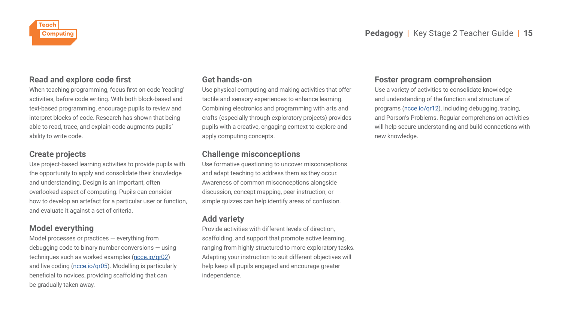<span id="page-16-0"></span>

### **Read and explore code first**

When teaching programming, focus first on code 'reading' activities, before code writing. With both block-based and text-based programming, encourage pupils to review and interpret blocks of code. Research has shown that being able to read, trace, and explain code augments pupils' ability to write code.

### **Create projects**

Use project-based learning activities to provide pupils with the opportunity to apply and consolidate their knowledge and understanding. Design is an important, often overlooked aspect of computing. Pupils can consider how to develop an artefact for a particular user or function, and evaluate it against a set of criteria.

### **Model everything**

Model processes or practices — everything from debugging code to binary number conversions — using techniques such as worked examples (ncce.io/qr02) and live coding (ncce.io/qr05). Modelling is particularly beneficial to novices, providing scaffolding that can be gradually taken away.

### **Get hands-on**

Use physical computing and making activities that offer tactile and sensory experiences to enhance learning. Combining electronics and programming with arts and crafts (especially through exploratory projects) provides pupils with a creative, engaging context to explore and apply computing concepts.

### **Challenge misconceptions**

Use formative questioning to uncover misconceptions and adapt teaching to address them as they occur. Awareness of common misconceptions alongside discussion, concept mapping, peer instruction, or simple quizzes can help identify areas of confusion.

### **Add variety**

Provide activities with different levels of direction, scaffolding, and support that promote active learning, ranging from highly structured to more exploratory tasks. Adapting your instruction to suit different objectives will help keep all pupils engaged and encourage greater independence.

### **Foster program comprehension**

Use a variety of activities to consolidate knowledge and understanding of the function and structure of programs (ncce.io/qr12), including debugging, tracing, and Parson's Problems. Regular comprehension activities will help secure understanding and build connections with new knowledge.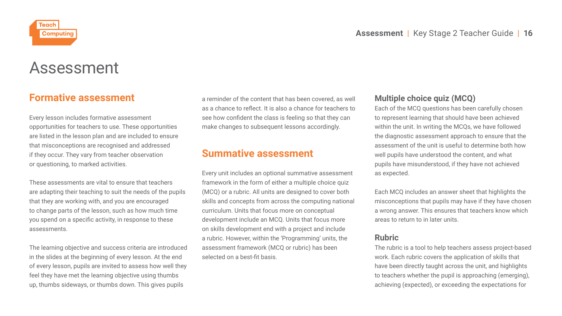<span id="page-17-0"></span>

# Assessment

### **Formative assessment**

Every lesson includes formative assessment opportunities for teachers to use. These opportunities are listed in the lesson plan and are included to ensure that misconceptions are recognised and addressed if they occur. They vary from teacher observation or questioning, to marked activities.

These assessments are vital to ensure that teachers are adapting their teaching to suit the needs of the pupils that they are working with, and you are encouraged to change parts of the lesson, such as how much time you spend on a specific activity, in response to these assessments.

The learning objective and success criteria are introduced in the slides at the beginning of every lesson. At the end of every lesson, pupils are invited to assess how well they feel they have met the learning objective using thumbs up, thumbs sideways, or thumbs down. This gives pupils

a reminder of the content that has been covered, as well as a chance to reflect. It is also a chance for teachers to see how confident the class is feeling so that they can make changes to subsequent lessons accordingly.

### **Summative assessment**

Every unit includes an optional summative assessment framework in the form of either a multiple choice quiz (MCQ) or a rubric. All units are designed to cover both skills and concepts from across the computing national curriculum. Units that focus more on conceptual development include an MCQ. Units that focus more on skills development end with a project and include a rubric. However, within the 'Programming' units, the assessment framework (MCQ or rubric) has been selected on a best-fit basis.

### **Multiple choice quiz (MCQ)**

Each of the MCQ questions has been carefully chosen to represent learning that should have been achieved within the unit. In writing the MCQs, we have followed the diagnostic assessment approach to ensure that the assessment of the unit is useful to determine both how well pupils have understood the content, and what pupils have misunderstood, if they have not achieved as expected.

Each MCQ includes an answer sheet that highlights the misconceptions that pupils may have if they have chosen a wrong answer. This ensures that teachers know which areas to return to in later units.

#### **Rubric**

The rubric is a tool to help teachers assess project-based work. Each rubric covers the application of skills that have been directly taught across the unit, and highlights to teachers whether the pupil is approaching (emerging), achieving (expected), or exceeding the expectations for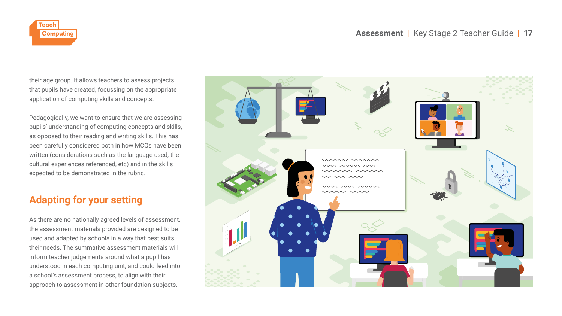<span id="page-18-0"></span>

their age group. It allows teachers to assess projects that pupils have created, focussing on the appropriate application of computing skills and concepts.

Pedagogically, we want to ensure that we are assessing pupils' understanding of computing concepts and skills, as opposed to their reading and writing skills. This has been carefully considered both in how MCQs have been written (considerations such as the language used, the cultural experiences referenced, etc) and in the skills expected to be demonstrated in the rubric.

## **Adapting for your setting**

As there are no nationally agreed levels of assessment, the assessment materials provided are designed to be used and adapted by schools in a way that best suits their needs. The summative assessment materials will inform teacher judgements around what a pupil has understood in each computing unit, and could feed into a school's assessment process, to align with their approach to assessment in other foundation subjects.

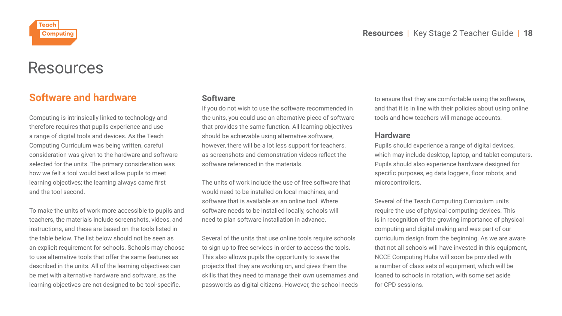<span id="page-19-0"></span>

# Resources

### **Software and hardware**

Computing is intrinsically linked to technology and therefore requires that pupils experience and use a range of digital tools and devices. As the Teach Computing Curriculum was being written, careful consideration was given to the hardware and software selected for the units. The primary consideration was how we felt a tool would best allow pupils to meet learning objectives; the learning always came first and the tool second.

To make the units of work more accessible to pupils and teachers, the materials include screenshots, videos, and instructions, and these are based on the tools listed in the table below. The list below should not be seen as an explicit requirement for schools. Schools may choose to use alternative tools that offer the same features as described in the units. All of the learning objectives can be met with alternative hardware and software, as the learning objectives are not designed to be tool-specific.

### **Software**

If you do not wish to use the software recommended in the units, you could use an alternative piece of software that provides the same function. All learning objectives should be achievable using alternative software, however, there will be a lot less support for teachers, as screenshots and demonstration videos reflect the software referenced in the materials.

The units of work include the use of free software that would need to be installed on local machines, and software that is available as an online tool. Where software needs to be installed locally, schools will need to plan software installation in advance.

Several of the units that use online tools require schools to sign up to free services in order to access the tools. This also allows pupils the opportunity to save the projects that they are working on, and gives them the skills that they need to manage their own usernames and passwords as digital citizens. However, the school needs

to ensure that they are comfortable using the software, and that it is in line with their policies about using online tools and how teachers will manage accounts.

#### **Hardware**

Pupils should experience a range of digital devices, which may include desktop, laptop, and tablet computers. Pupils should also experience hardware designed for specific purposes, eg data loggers, floor robots, and microcontrollers.

Several of the Teach Computing Curriculum units require the use of physical computing devices. This is in recognition of the growing importance of physical computing and digital making and was part of our curriculum design from the beginning. As we are aware that not all schools will have invested in this equipment, NCCE Computing Hubs will soon be provided with a number of class sets of equipment, which will be loaned to schools in rotation, with some set aside for CPD sessions.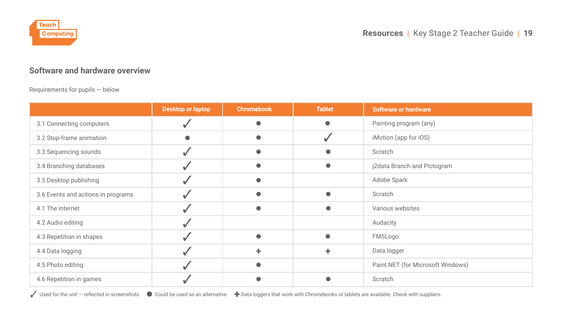<span id="page-20-0"></span>

### **Software and hardware overview**

Requirements for pupils — below

|                                    | <b>Desktop or laptop</b> | <b>Chromebook</b> | <b>Tablet</b> | <b>Software or hardware</b>       |
|------------------------------------|--------------------------|-------------------|---------------|-----------------------------------|
| 3.1 Connecting computers           |                          |                   | $\bullet$     | Painting program (any)            |
| 3.2 Stop-frame animation           |                          |                   |               | iMotion (app for iOS)             |
| 3.3 Sequencing sounds              |                          |                   |               | Scratch                           |
| 3.4 Branching databases            |                          |                   |               | j2data Branch and Pictogram       |
| 3.5 Desktop publishing             |                          |                   |               | Adobe Spark                       |
| 3.6 Events and actions in programs |                          |                   |               | Scratch                           |
| 4.1 The internet                   |                          |                   |               | Various websites                  |
| 4.2 Audio editing                  |                          |                   |               | Audacity                          |
| 4.3 Repetition in shapes           |                          |                   | ●             | FMSLogo                           |
| 4.4 Data logging                   |                          |                   | ٠             | Data logger                       |
| 4.5 Photo editing                  |                          |                   |               | Paint.NET (for Microsoft Windows) |
| 4.6 Repetition in games            |                          |                   |               | Scratch                           |

✓ Used for the unit — reflected in screenshots ● Could be used as an alternative + Data loggers that work with Chromebooks or tablets are available. Check with suppliers.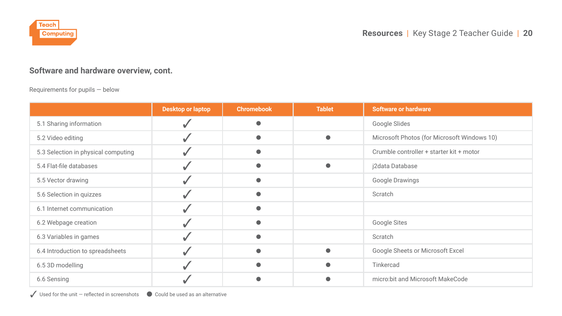

### **Software and hardware overview, cont.**

#### Requirements for pupils — below

|                                     | Desktop or laptop | <b>Chromebook</b> | <b>Tablet</b> | <b>Software or hardware</b>                 |  |  |
|-------------------------------------|-------------------|-------------------|---------------|---------------------------------------------|--|--|
| 5.1 Sharing information             |                   |                   |               | Google Slides                               |  |  |
| 5.2 Video editing                   |                   |                   | ٠             | Microsoft Photos (for Microsoft Windows 10) |  |  |
| 5.3 Selection in physical computing |                   |                   |               | Crumble controller + starter kit + motor    |  |  |
| 5.4 Flat-file databases             |                   |                   | ●             | j2data Database                             |  |  |
| 5.5 Vector drawing                  |                   |                   |               | Google Drawings                             |  |  |
| 5.6 Selection in quizzes            |                   |                   |               | Scratch                                     |  |  |
| 6.1 Internet communication          |                   |                   |               |                                             |  |  |
| 6.2 Webpage creation                |                   |                   |               | Google Sites                                |  |  |
| 6.3 Variables in games              |                   |                   |               | Scratch                                     |  |  |
| 6.4 Introduction to spreadsheets    |                   |                   |               | Google Sheets or Microsoft Excel            |  |  |
| 6.5 3D modelling                    |                   |                   |               | Tinkercad                                   |  |  |
| 6.6 Sensing                         |                   |                   |               | micro:bit and Microsoft MakeCode            |  |  |

✓ Used for the unit — reflected in screenshots ● Could be used as an alternative